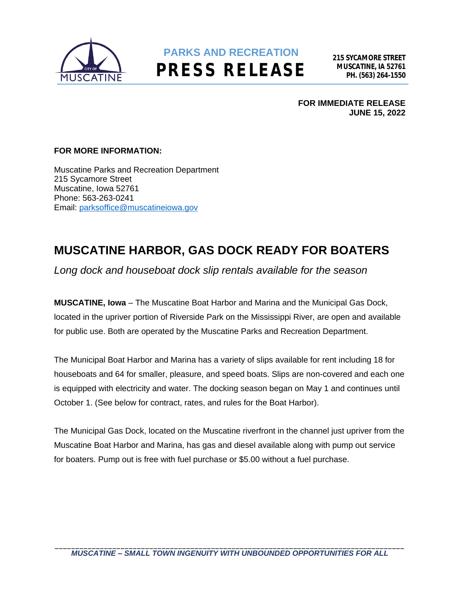

## **PARKS AND RECREATION PRESS RELEASE**

**FOR IMMEDIATE RELEASE JUNE 15, 2022**

#### **FOR MORE INFORMATION:**

Muscatine Parks and Recreation Department 215 Sycamore Street Muscatine, Iowa 52761 Phone: 563-263-0241 Email: [parksoffice@muscatineiowa.gov](mailto:parksoffice@muscatineiowa.gov)

### **MUSCATINE HARBOR, GAS DOCK READY FOR BOATERS**

*Long dock and houseboat dock slip rentals available for the season*

**MUSCATINE, Iowa** – The Muscatine Boat Harbor and Marina and the Municipal Gas Dock, located in the upriver portion of Riverside Park on the Mississippi River, are open and available for public use. Both are operated by the Muscatine Parks and Recreation Department.

The Municipal Boat Harbor and Marina has a variety of slips available for rent including 18 for houseboats and 64 for smaller, pleasure, and speed boats. Slips are non-covered and each one is equipped with electricity and water. The docking season began on May 1 and continues until October 1. (See below for contract, rates, and rules for the Boat Harbor).

The Municipal Gas Dock, located on the Muscatine riverfront in the channel just upriver from the Muscatine Boat Harbor and Marina, has gas and diesel available along with pump out service for boaters. Pump out is free with fuel purchase or \$5.00 without a fuel purchase.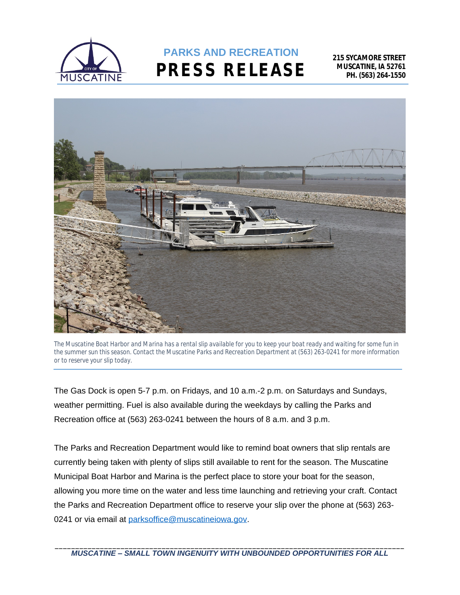

# **PARKS AND RECREATION PRESS RELEASE**





The Gas Dock is open 5-7 p.m. on Fridays, and 10 a.m.-2 p.m. on Saturdays and Sundays, weather permitting. Fuel is also available during the weekdays by calling the Parks and Recreation office at (563) 263-0241 between the hours of 8 a.m. and 3 p.m.

The Parks and Recreation Department would like to remind boat owners that slip rentals are currently being taken with plenty of slips still available to rent for the season. The Muscatine Municipal Boat Harbor and Marina is the perfect place to store your boat for the season, allowing you more time on the water and less time launching and retrieving your craft. Contact the Parks and Recreation Department office to reserve your slip over the phone at (563) 263 0241 or via email at [parksoffice@muscatineiowa.gov.](mailto:parksoffice@muscatineiowa.gov)